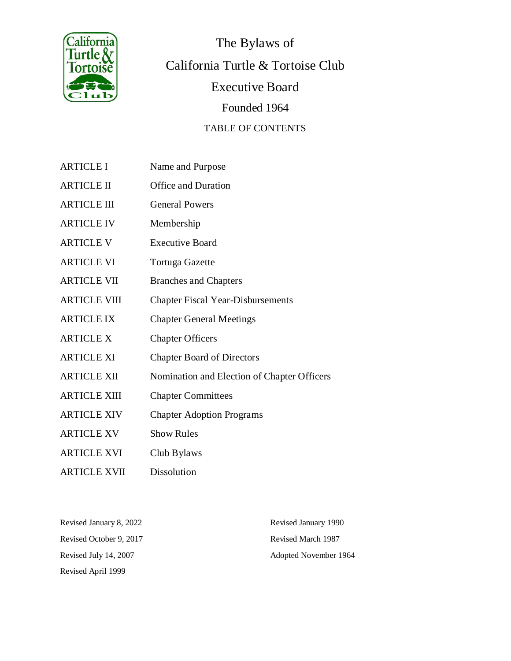

The Bylaws of California Turtle & Tortoise Club Executive Board Founded 1964 TABLE OF CONTENTS

- ARTICLE I Name and Purpose
- ARTICLE II Office and Duration
- ARTICLE III General Powers
- ARTICLE IV Membership
- ARTICLE V Executive Board
- ARTICLE VI Tortuga Gazette
- ARTICLE VII Branches and Chapters
- ARTICLE VIII Chapter Fiscal Year-Disbursements
- ARTICLE IX Chapter General Meetings
- ARTICLE X Chapter Officers
- ARTICLE XI Chapter Board of Directors
- ARTICLE XII Nomination and Election of Chapter Officers
- ARTICLE XIII Chapter Committees
- ARTICLE XIV Chapter Adoption Programs
- ARTICLE XV Show Rules
- ARTICLE XVI Club Bylaws
- ARTICLE XVII Dissolution

| Revised January 8, 2022 | Revised January 1990  |
|-------------------------|-----------------------|
| Revised October 9, 2017 | Revised March 1987    |
| Revised July 14, 2007   | Adopted November 1964 |
| Revised April 1999      |                       |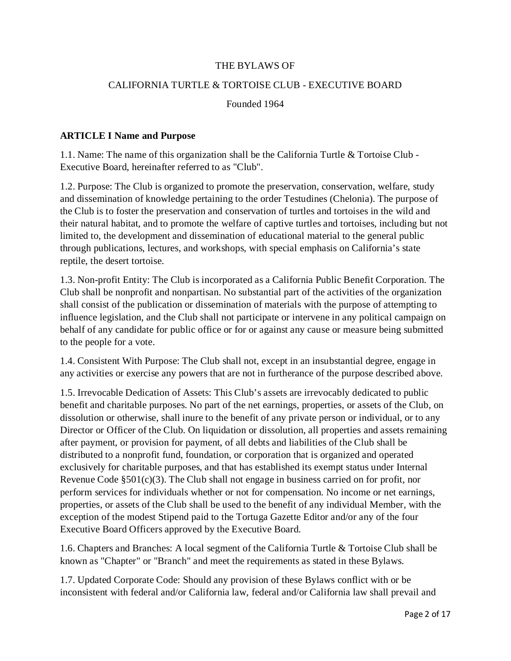#### THE BYLAWS OF

#### CALIFORNIA TURTLE & TORTOISE CLUB - EXECUTIVE BOARD

Founded 1964

#### **ARTICLE I Name and Purpose**

1.1. Name: The name of this organization shall be the California Turtle & Tortoise Club - Executive Board, hereinafter referred to as "Club".

1.2. Purpose: The Club is organized to promote the preservation, conservation, welfare, study and dissemination of knowledge pertaining to the order Testudines (Chelonia). The purpose of the Club is to foster the preservation and conservation of turtles and tortoises in the wild and their natural habitat, and to promote the welfare of captive turtles and tortoises, including but not limited to, the development and dissemination of educational material to the general public through publications, lectures, and workshops, with special emphasis on California's state reptile, the desert tortoise.

1.3. Non-profit Entity: The Club is incorporated as a California Public Benefit Corporation. The Club shall be nonprofit and nonpartisan. No substantial part of the activities of the organization shall consist of the publication or dissemination of materials with the purpose of attempting to influence legislation, and the Club shall not participate or intervene in any political campaign on behalf of any candidate for public office or for or against any cause or measure being submitted to the people for a vote.

1.4. Consistent With Purpose: The Club shall not, except in an insubstantial degree, engage in any activities or exercise any powers that are not in furtherance of the purpose described above.

1.5. Irrevocable Dedication of Assets: This Club's assets are irrevocably dedicated to public benefit and charitable purposes. No part of the net earnings, properties, or assets of the Club, on dissolution or otherwise, shall inure to the benefit of any private person or individual, or to any Director or Officer of the Club. On liquidation or dissolution, all properties and assets remaining after payment, or provision for payment, of all debts and liabilities of the Club shall be distributed to a nonprofit fund, foundation, or corporation that is organized and operated exclusively for charitable purposes, and that has established its exempt status under Internal Revenue Code §501(c)(3). The Club shall not engage in business carried on for profit, nor perform services for individuals whether or not for compensation. No income or net earnings, properties, or assets of the Club shall be used to the benefit of any individual Member, with the exception of the modest Stipend paid to the Tortuga Gazette Editor and/or any of the four Executive Board Officers approved by the Executive Board.

1.6. Chapters and Branches: A local segment of the California Turtle & Tortoise Club shall be known as "Chapter" or "Branch" and meet the requirements as stated in these Bylaws.

1.7. Updated Corporate Code: Should any provision of these Bylaws conflict with or be inconsistent with federal and/or California law, federal and/or California law shall prevail and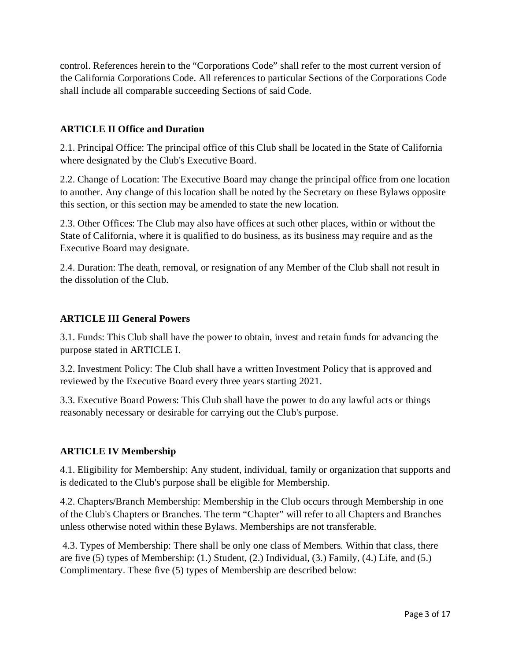control. References herein to the "Corporations Code" shall refer to the most current version of the California Corporations Code. All references to particular Sections of the Corporations Code shall include all comparable succeeding Sections of said Code.

## **ARTICLE II Office and Duration**

2.1. Principal Office: The principal office of this Club shall be located in the State of California where designated by the Club's Executive Board.

2.2. Change of Location: The Executive Board may change the principal office from one location to another. Any change of this location shall be noted by the Secretary on these Bylaws opposite this section, or this section may be amended to state the new location.

2.3. Other Offices: The Club may also have offices at such other places, within or without the State of California, where it is qualified to do business, as its business may require and as the Executive Board may designate.

2.4. Duration: The death, removal, or resignation of any Member of the Club shall not result in the dissolution of the Club.

#### **ARTICLE III General Powers**

3.1. Funds: This Club shall have the power to obtain, invest and retain funds for advancing the purpose stated in ARTICLE I.

3.2. Investment Policy: The Club shall have a written Investment Policy that is approved and reviewed by the Executive Board every three years starting 2021.

3.3. Executive Board Powers: This Club shall have the power to do any lawful acts or things reasonably necessary or desirable for carrying out the Club's purpose.

#### **ARTICLE IV Membership**

4.1. Eligibility for Membership: Any student, individual, family or organization that supports and is dedicated to the Club's purpose shall be eligible for Membership.

4.2. Chapters/Branch Membership: Membership in the Club occurs through Membership in one of the Club's Chapters or Branches. The term "Chapter" will refer to all Chapters and Branches unless otherwise noted within these Bylaws. Memberships are not transferable.

4.3. Types of Membership: There shall be only one class of Members. Within that class, there are five (5) types of Membership: (1.) Student, (2.) Individual, (3.) Family, (4.) Life, and (5.) Complimentary. These five (5) types of Membership are described below: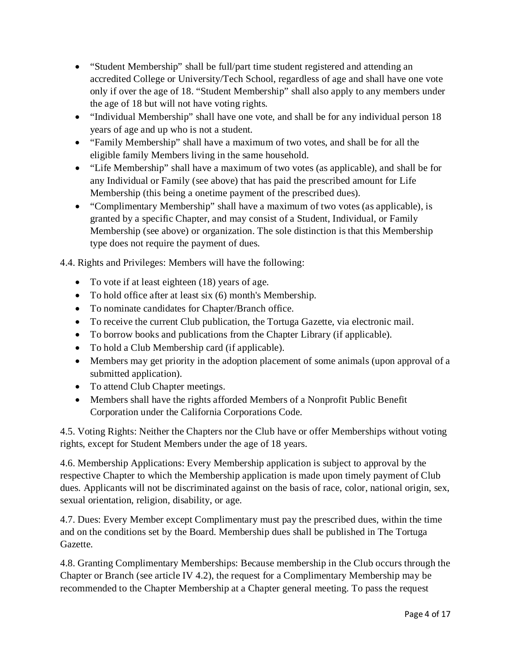- "Student Membership" shall be full/part time student registered and attending an accredited College or University/Tech School, regardless of age and shall have one vote only if over the age of 18. "Student Membership" shall also apply to any members under the age of 18 but will not have voting rights.
- "Individual Membership" shall have one vote, and shall be for any individual person 18 years of age and up who is not a student.
- "Family Membership" shall have a maximum of two votes, and shall be for all the eligible family Members living in the same household.
- "Life Membership" shall have a maximum of two votes (as applicable), and shall be for any Individual or Family (see above) that has paid the prescribed amount for Life Membership (this being a onetime payment of the prescribed dues).
- "Complimentary Membership" shall have a maximum of two votes (as applicable), is granted by a specific Chapter, and may consist of a Student, Individual, or Family Membership (see above) or organization. The sole distinction is that this Membership type does not require the payment of dues.

4.4. Rights and Privileges: Members will have the following:

- To vote if at least eighteen (18) years of age.
- To hold office after at least six (6) month's Membership.
- To nominate candidates for Chapter/Branch office.
- To receive the current Club publication, the Tortuga Gazette, via electronic mail.
- To borrow books and publications from the Chapter Library (if applicable).
- To hold a Club Membership card (if applicable).
- Members may get priority in the adoption placement of some animals (upon approval of a submitted application).
- To attend Club Chapter meetings.
- Members shall have the rights afforded Members of a Nonprofit Public Benefit Corporation under the California Corporations Code.

4.5. Voting Rights: Neither the Chapters nor the Club have or offer Memberships without voting rights, except for Student Members under the age of 18 years.

4.6. Membership Applications: Every Membership application is subject to approval by the respective Chapter to which the Membership application is made upon timely payment of Club dues. Applicants will not be discriminated against on the basis of race, color, national origin, sex, sexual orientation, religion, disability, or age.

4.7. Dues: Every Member except Complimentary must pay the prescribed dues, within the time and on the conditions set by the Board. Membership dues shall be published in The Tortuga Gazette.

4.8. Granting Complimentary Memberships: Because membership in the Club occurs through the Chapter or Branch (see article IV 4.2), the request for a Complimentary Membership may be recommended to the Chapter Membership at a Chapter general meeting. To pass the request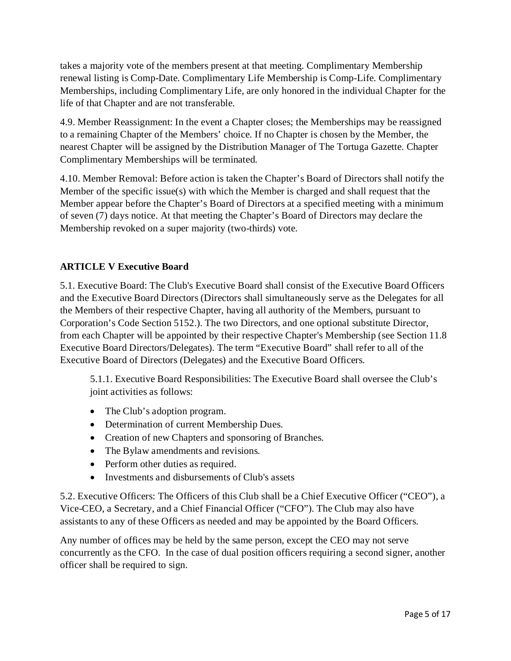takes a majority vote of the members present at that meeting. Complimentary Membership renewal listing is Comp-Date. Complimentary Life Membership is Comp-Life. Complimentary Memberships, including Complimentary Life, are only honored in the individual Chapter for the life of that Chapter and are not transferable.

4.9. Member Reassignment: In the event a Chapter closes; the Memberships may be reassigned to a remaining Chapter of the Members' choice. If no Chapter is chosen by the Member, the nearest Chapter will be assigned by the Distribution Manager of The Tortuga Gazette. Chapter Complimentary Memberships will be terminated.

4.10. Member Removal: Before action is taken the Chapter's Board of Directors shall notify the Member of the specific issue(s) with which the Member is charged and shall request that the Member appear before the Chapter's Board of Directors at a specified meeting with a minimum of seven (7) days notice. At that meeting the Chapter's Board of Directors may declare the Membership revoked on a super majority (two-thirds) vote.

# **ARTICLE V Executive Board**

5.1. Executive Board: The Club's Executive Board shall consist of the Executive Board Officers and the Executive Board Directors (Directors shall simultaneously serve as the Delegates for all the Members of their respective Chapter, having all authority of the Members, pursuant to Corporation's Code Section 5152.). The two Directors, and one optional substitute Director, from each Chapter will be appointed by their respective Chapter's Membership (see Section 11.8 Executive Board Directors/Delegates). The term "Executive Board" shall refer to all of the Executive Board of Directors (Delegates) and the Executive Board Officers.

5.1.1. Executive Board Responsibilities: The Executive Board shall oversee the Club's joint activities as follows:

- The Club's adoption program.
- Determination of current Membership Dues.
- Creation of new Chapters and sponsoring of Branches.
- The Bylaw amendments and revisions.
- Perform other duties as required.
- Investments and disbursements of Club's assets

5.2. Executive Officers: The Officers of this Club shall be a Chief Executive Officer ("CEO"), a Vice-CEO, a Secretary, and a Chief Financial Officer ("CFO"). The Club may also have assistants to any of these Officers as needed and may be appointed by the Board Officers.

Any number of offices may be held by the same person, except the CEO may not serve concurrently as the CFO. In the case of dual position officers requiring a second signer, another officer shall be required to sign.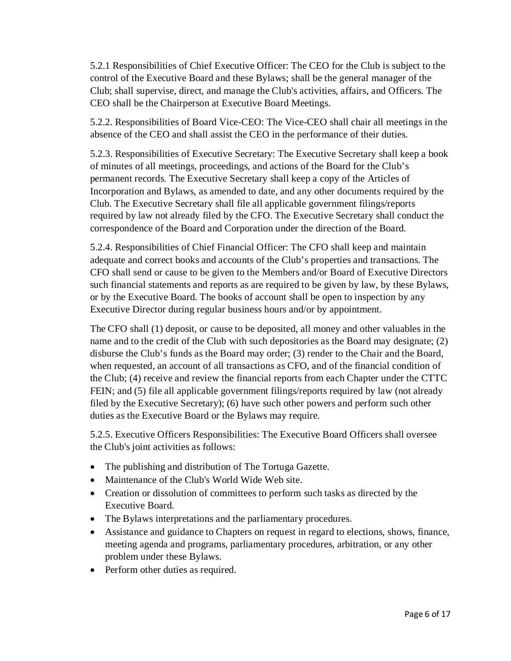5.2.1 Responsibilities of Chief Executive Officer: The CEO for the Club is subject to the control of the Executive Board and these Bylaws; shall be the general manager of the Club; shall supervise, direct, and manage the Club's activities, affairs, and Officers. The CEO shall be the Chairperson at Executive Board Meetings.

5.2.2. Responsibilities of Board Vice-CEO: The Vice-CEO shall chair all meetings in the absence of the CEO and shall assist the CEO in the performance of their duties.

5.2.3. Responsibilities of Executive Secretary: The Executive Secretary shall keep a book of minutes of all meetings, proceedings, and actions of the Board for the Club's permanent records. The Executive Secretary shall keep a copy of the Articles of Incorporation and Bylaws, as amended to date, and any other documents required by the Club. The Executive Secretary shall file all applicable government filings/reports required by law not already filed by the CFO. The Executive Secretary shall conduct the correspondence of the Board and Corporation under the direction of the Board.

5.2.4. Responsibilities of Chief Financial Officer: The CFO shall keep and maintain adequate and correct books and accounts of the Club's properties and transactions. The CFO shall send or cause to be given to the Members and/or Board of Executive Directors such financial statements and reports as are required to be given by law, by these Bylaws, or by the Executive Board. The books of account shall be open to inspection by any Executive Director during regular business hours and/or by appointment.

The CFO shall (1) deposit, or cause to be deposited, all money and other valuables in the name and to the credit of the Club with such depositories as the Board may designate; (2) disburse the Club's funds as the Board may order; (3) render to the Chair and the Board, when requested, an account of all transactions as CFO, and of the financial condition of the Club; (4) receive and review the financial reports from each Chapter under the CTTC FEIN; and (5) file all applicable government filings/reports required by law (not already filed by the Executive Secretary); (6) have such other powers and perform such other duties as the Executive Board or the Bylaws may require.

5.2.5. Executive Officers Responsibilities: The Executive Board Officers shall oversee the Club's joint activities as follows:

- The publishing and distribution of The Tortuga Gazette.
- Maintenance of the Club's World Wide Web site.
- Creation or dissolution of committees to perform such tasks as directed by the Executive Board.
- The Bylaws interpretations and the parliamentary procedures.
- Assistance and guidance to Chapters on request in regard to elections, shows, finance, meeting agenda and programs, parliamentary procedures, arbitration, or any other problem under these Bylaws.
- Perform other duties as required.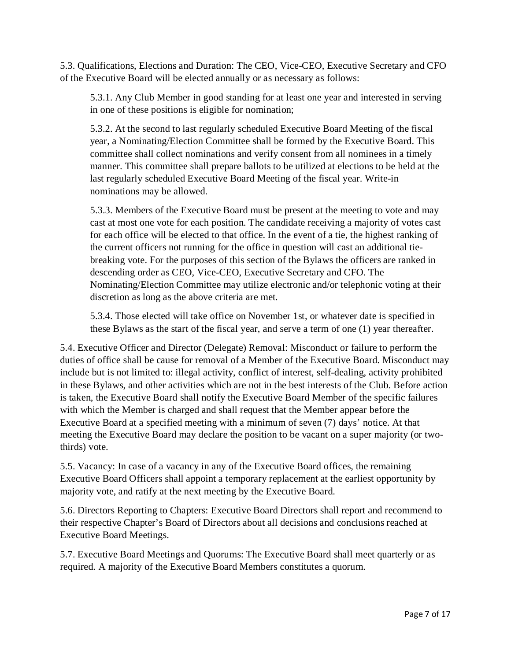5.3. Qualifications, Elections and Duration: The CEO, Vice-CEO, Executive Secretary and CFO of the Executive Board will be elected annually or as necessary as follows:

5.3.1. Any Club Member in good standing for at least one year and interested in serving in one of these positions is eligible for nomination;

5.3.2. At the second to last regularly scheduled Executive Board Meeting of the fiscal year, a Nominating/Election Committee shall be formed by the Executive Board. This committee shall collect nominations and verify consent from all nominees in a timely manner. This committee shall prepare ballots to be utilized at elections to be held at the last regularly scheduled Executive Board Meeting of the fiscal year. Write-in nominations may be allowed.

5.3.3. Members of the Executive Board must be present at the meeting to vote and may cast at most one vote for each position. The candidate receiving a majority of votes cast for each office will be elected to that office. In the event of a tie, the highest ranking of the current officers not running for the office in question will cast an additional tiebreaking vote. For the purposes of this section of the Bylaws the officers are ranked in descending order as CEO, Vice-CEO, Executive Secretary and CFO. The Nominating/Election Committee may utilize electronic and/or telephonic voting at their discretion as long as the above criteria are met.

5.3.4. Those elected will take office on November 1st, or whatever date is specified in these Bylaws as the start of the fiscal year, and serve a term of one (1) year thereafter.

5.4. Executive Officer and Director (Delegate) Removal: Misconduct or failure to perform the duties of office shall be cause for removal of a Member of the Executive Board. Misconduct may include but is not limited to: illegal activity, conflict of interest, self-dealing, activity prohibited in these Bylaws, and other activities which are not in the best interests of the Club. Before action is taken, the Executive Board shall notify the Executive Board Member of the specific failures with which the Member is charged and shall request that the Member appear before the Executive Board at a specified meeting with a minimum of seven (7) days' notice. At that meeting the Executive Board may declare the position to be vacant on a super majority (or twothirds) vote.

5.5. Vacancy: In case of a vacancy in any of the Executive Board offices, the remaining Executive Board Officers shall appoint a temporary replacement at the earliest opportunity by majority vote, and ratify at the next meeting by the Executive Board.

5.6. Directors Reporting to Chapters: Executive Board Directors shall report and recommend to their respective Chapter's Board of Directors about all decisions and conclusions reached at Executive Board Meetings.

5.7. Executive Board Meetings and Quorums: The Executive Board shall meet quarterly or as required. A majority of the Executive Board Members constitutes a quorum.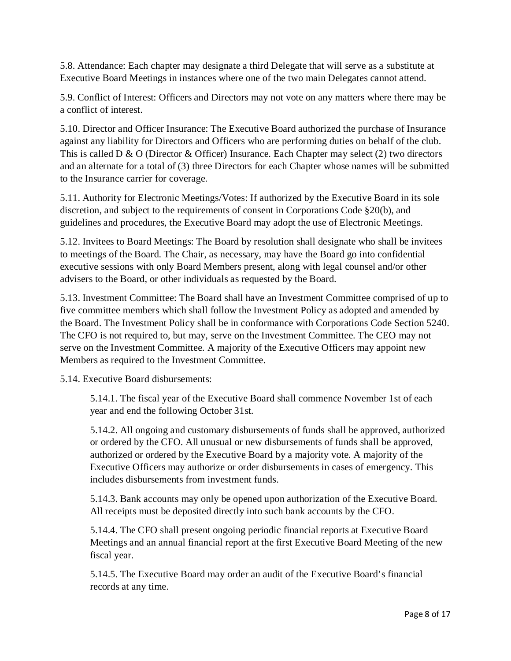5.8. Attendance: Each chapter may designate a third Delegate that will serve as a substitute at Executive Board Meetings in instances where one of the two main Delegates cannot attend.

5.9. Conflict of Interest: Officers and Directors may not vote on any matters where there may be a conflict of interest.

5.10. Director and Officer Insurance: The Executive Board authorized the purchase of Insurance against any liability for Directors and Officers who are performing duties on behalf of the club. This is called D & O (Director & Officer) Insurance. Each Chapter may select (2) two directors and an alternate for a total of (3) three Directors for each Chapter whose names will be submitted to the Insurance carrier for coverage.

5.11. Authority for Electronic Meetings/Votes: If authorized by the Executive Board in its sole discretion, and subject to the requirements of consent in Corporations Code §20(b), and guidelines and procedures, the Executive Board may adopt the use of Electronic Meetings.

5.12. Invitees to Board Meetings: The Board by resolution shall designate who shall be invitees to meetings of the Board. The Chair, as necessary, may have the Board go into confidential executive sessions with only Board Members present, along with legal counsel and/or other advisers to the Board, or other individuals as requested by the Board.

5.13. Investment Committee: The Board shall have an Investment Committee comprised of up to five committee members which shall follow the Investment Policy as adopted and amended by the Board. The Investment Policy shall be in conformance with Corporations Code Section 5240. The CFO is not required to, but may, serve on the Investment Committee. The CEO may not serve on the Investment Committee. A majority of the Executive Officers may appoint new Members as required to the Investment Committee.

5.14. Executive Board disbursements:

5.14.1. The fiscal year of the Executive Board shall commence November 1st of each year and end the following October 31st.

5.14.2. All ongoing and customary disbursements of funds shall be approved, authorized or ordered by the CFO. All unusual or new disbursements of funds shall be approved, authorized or ordered by the Executive Board by a majority vote. A majority of the Executive Officers may authorize or order disbursements in cases of emergency. This includes disbursements from investment funds.

5.14.3. Bank accounts may only be opened upon authorization of the Executive Board. All receipts must be deposited directly into such bank accounts by the CFO.

5.14.4. The CFO shall present ongoing periodic financial reports at Executive Board Meetings and an annual financial report at the first Executive Board Meeting of the new fiscal year.

5.14.5. The Executive Board may order an audit of the Executive Board's financial records at any time.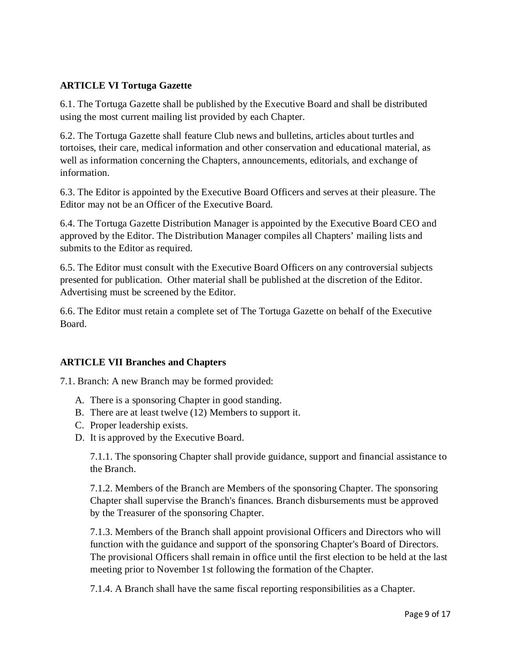## **ARTICLE VI Tortuga Gazette**

6.1. The Tortuga Gazette shall be published by the Executive Board and shall be distributed using the most current mailing list provided by each Chapter.

6.2. The Tortuga Gazette shall feature Club news and bulletins, articles about turtles and tortoises, their care, medical information and other conservation and educational material, as well as information concerning the Chapters, announcements, editorials, and exchange of information.

6.3. The Editor is appointed by the Executive Board Officers and serves at their pleasure. The Editor may not be an Officer of the Executive Board.

6.4. The Tortuga Gazette Distribution Manager is appointed by the Executive Board CEO and approved by the Editor. The Distribution Manager compiles all Chapters' mailing lists and submits to the Editor as required.

6.5. The Editor must consult with the Executive Board Officers on any controversial subjects presented for publication. Other material shall be published at the discretion of the Editor. Advertising must be screened by the Editor.

6.6. The Editor must retain a complete set of The Tortuga Gazette on behalf of the Executive Board.

## **ARTICLE VII Branches and Chapters**

7.1. Branch: A new Branch may be formed provided:

- A. There is a sponsoring Chapter in good standing.
- B. There are at least twelve (12) Members to support it.
- C. Proper leadership exists.
- D. It is approved by the Executive Board.

7.1.1. The sponsoring Chapter shall provide guidance, support and financial assistance to the Branch.

7.1.2. Members of the Branch are Members of the sponsoring Chapter. The sponsoring Chapter shall supervise the Branch's finances. Branch disbursements must be approved by the Treasurer of the sponsoring Chapter.

7.1.3. Members of the Branch shall appoint provisional Officers and Directors who will function with the guidance and support of the sponsoring Chapter's Board of Directors. The provisional Officers shall remain in office until the first election to be held at the last meeting prior to November 1st following the formation of the Chapter.

7.1.4. A Branch shall have the same fiscal reporting responsibilities as a Chapter.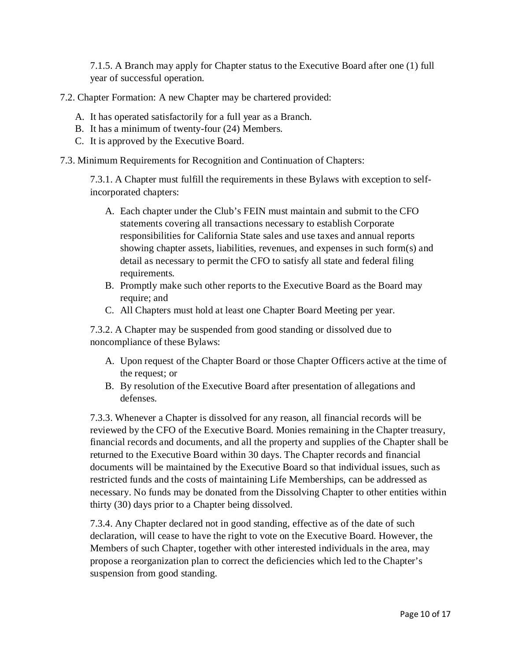7.1.5. A Branch may apply for Chapter status to the Executive Board after one (1) full year of successful operation.

7.2. Chapter Formation: A new Chapter may be chartered provided:

- A. It has operated satisfactorily for a full year as a Branch.
- B. It has a minimum of twenty-four (24) Members.
- C. It is approved by the Executive Board.

7.3. Minimum Requirements for Recognition and Continuation of Chapters:

7.3.1. A Chapter must fulfill the requirements in these Bylaws with exception to selfincorporated chapters:

- A. Each chapter under the Club's FEIN must maintain and submit to the CFO statements covering all transactions necessary to establish Corporate responsibilities for California State sales and use taxes and annual reports showing chapter assets, liabilities, revenues, and expenses in such form(s) and detail as necessary to permit the CFO to satisfy all state and federal filing requirements.
- B. Promptly make such other reports to the Executive Board as the Board may require; and
- C. All Chapters must hold at least one Chapter Board Meeting per year.

7.3.2. A Chapter may be suspended from good standing or dissolved due to noncompliance of these Bylaws:

- A. Upon request of the Chapter Board or those Chapter Officers active at the time of the request; or
- B. By resolution of the Executive Board after presentation of allegations and defenses.

7.3.3. Whenever a Chapter is dissolved for any reason, all financial records will be reviewed by the CFO of the Executive Board. Monies remaining in the Chapter treasury, financial records and documents, and all the property and supplies of the Chapter shall be returned to the Executive Board within 30 days. The Chapter records and financial documents will be maintained by the Executive Board so that individual issues, such as restricted funds and the costs of maintaining Life Memberships, can be addressed as necessary. No funds may be donated from the Dissolving Chapter to other entities within thirty (30) days prior to a Chapter being dissolved.

7.3.4. Any Chapter declared not in good standing, effective as of the date of such declaration, will cease to have the right to vote on the Executive Board. However, the Members of such Chapter, together with other interested individuals in the area, may propose a reorganization plan to correct the deficiencies which led to the Chapter's suspension from good standing.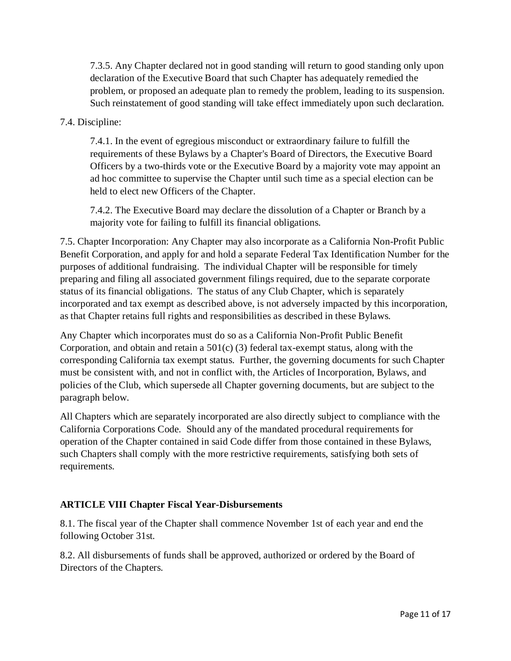7.3.5. Any Chapter declared not in good standing will return to good standing only upon declaration of the Executive Board that such Chapter has adequately remedied the problem, or proposed an adequate plan to remedy the problem, leading to its suspension. Such reinstatement of good standing will take effect immediately upon such declaration.

### 7.4. Discipline:

7.4.1. In the event of egregious misconduct or extraordinary failure to fulfill the requirements of these Bylaws by a Chapter's Board of Directors, the Executive Board Officers by a two-thirds vote or the Executive Board by a majority vote may appoint an ad hoc committee to supervise the Chapter until such time as a special election can be held to elect new Officers of the Chapter.

7.4.2. The Executive Board may declare the dissolution of a Chapter or Branch by a majority vote for failing to fulfill its financial obligations.

7.5. Chapter Incorporation: Any Chapter may also incorporate as a California Non-Profit Public Benefit Corporation, and apply for and hold a separate Federal Tax Identification Number for the purposes of additional fundraising. The individual Chapter will be responsible for timely preparing and filing all associated government filings required, due to the separate corporate status of its financial obligations. The status of any Club Chapter, which is separately incorporated and tax exempt as described above, is not adversely impacted by this incorporation, as that Chapter retains full rights and responsibilities as described in these Bylaws.

Any Chapter which incorporates must do so as a California Non-Profit Public Benefit Corporation, and obtain and retain a  $501(c)$  (3) federal tax-exempt status, along with the corresponding California tax exempt status. Further, the governing documents for such Chapter must be consistent with, and not in conflict with, the Articles of Incorporation, Bylaws, and policies of the Club, which supersede all Chapter governing documents, but are subject to the paragraph below.

All Chapters which are separately incorporated are also directly subject to compliance with the California Corporations Code. Should any of the mandated procedural requirements for operation of the Chapter contained in said Code differ from those contained in these Bylaws, such Chapters shall comply with the more restrictive requirements, satisfying both sets of requirements.

## **ARTICLE VIII Chapter Fiscal Year-Disbursements**

8.1. The fiscal year of the Chapter shall commence November 1st of each year and end the following October 31st.

8.2. All disbursements of funds shall be approved, authorized or ordered by the Board of Directors of the Chapters.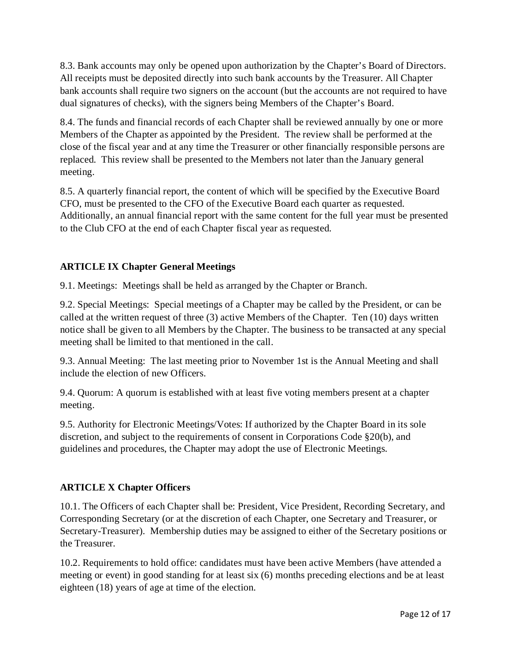8.3. Bank accounts may only be opened upon authorization by the Chapter's Board of Directors. All receipts must be deposited directly into such bank accounts by the Treasurer. All Chapter bank accounts shall require two signers on the account (but the accounts are not required to have dual signatures of checks), with the signers being Members of the Chapter's Board.

8.4. The funds and financial records of each Chapter shall be reviewed annually by one or more Members of the Chapter as appointed by the President. The review shall be performed at the close of the fiscal year and at any time the Treasurer or other financially responsible persons are replaced. This review shall be presented to the Members not later than the January general meeting.

8.5. A quarterly financial report, the content of which will be specified by the Executive Board CFO, must be presented to the CFO of the Executive Board each quarter as requested. Additionally, an annual financial report with the same content for the full year must be presented to the Club CFO at the end of each Chapter fiscal year as requested.

# **ARTICLE IX Chapter General Meetings**

9.1. Meetings: Meetings shall be held as arranged by the Chapter or Branch.

9.2. Special Meetings: Special meetings of a Chapter may be called by the President, or can be called at the written request of three (3) active Members of the Chapter. Ten (10) days written notice shall be given to all Members by the Chapter. The business to be transacted at any special meeting shall be limited to that mentioned in the call.

9.3. Annual Meeting: The last meeting prior to November 1st is the Annual Meeting and shall include the election of new Officers.

9.4. Quorum: A quorum is established with at least five voting members present at a chapter meeting.

9.5. Authority for Electronic Meetings/Votes: If authorized by the Chapter Board in its sole discretion, and subject to the requirements of consent in Corporations Code §20(b), and guidelines and procedures, the Chapter may adopt the use of Electronic Meetings.

## **ARTICLE X Chapter Officers**

10.1. The Officers of each Chapter shall be: President, Vice President, Recording Secretary, and Corresponding Secretary (or at the discretion of each Chapter, one Secretary and Treasurer, or Secretary-Treasurer). Membership duties may be assigned to either of the Secretary positions or the Treasurer.

10.2. Requirements to hold office: candidates must have been active Members (have attended a meeting or event) in good standing for at least six (6) months preceding elections and be at least eighteen (18) years of age at time of the election.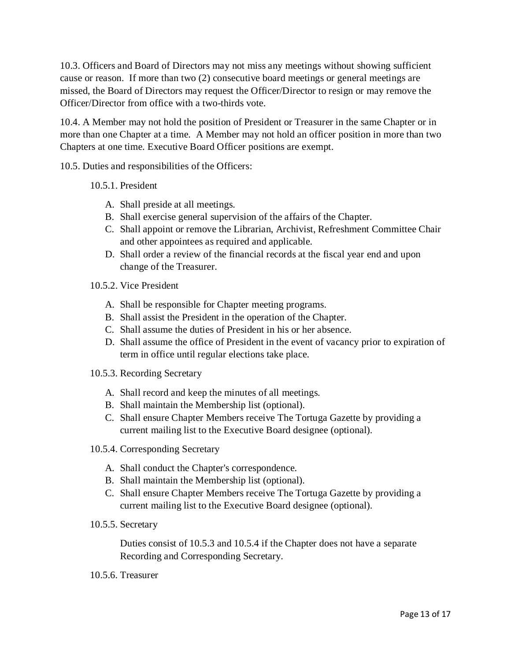10.3. Officers and Board of Directors may not miss any meetings without showing sufficient cause or reason. If more than two (2) consecutive board meetings or general meetings are missed, the Board of Directors may request the Officer/Director to resign or may remove the Officer/Director from office with a two-thirds vote.

10.4. A Member may not hold the position of President or Treasurer in the same Chapter or in more than one Chapter at a time. A Member may not hold an officer position in more than two Chapters at one time. Executive Board Officer positions are exempt.

10.5. Duties and responsibilities of the Officers:

#### 10.5.1. President

- A. Shall preside at all meetings.
- B. Shall exercise general supervision of the affairs of the Chapter.
- C. Shall appoint or remove the Librarian, Archivist, Refreshment Committee Chair and other appointees as required and applicable.
- D. Shall order a review of the financial records at the fiscal year end and upon change of the Treasurer.
- 10.5.2. Vice President
	- A. Shall be responsible for Chapter meeting programs.
	- B. Shall assist the President in the operation of the Chapter.
	- C. Shall assume the duties of President in his or her absence.
	- D. Shall assume the office of President in the event of vacancy prior to expiration of term in office until regular elections take place.
- 10.5.3. Recording Secretary
	- A. Shall record and keep the minutes of all meetings.
	- B. Shall maintain the Membership list (optional).
	- C. Shall ensure Chapter Members receive The Tortuga Gazette by providing a current mailing list to the Executive Board designee (optional).
- 10.5.4. Corresponding Secretary
	- A. Shall conduct the Chapter's correspondence.
	- B. Shall maintain the Membership list (optional).
	- C. Shall ensure Chapter Members receive The Tortuga Gazette by providing a current mailing list to the Executive Board designee (optional).
- 10.5.5. Secretary

Duties consist of 10.5.3 and 10.5.4 if the Chapter does not have a separate Recording and Corresponding Secretary.

10.5.6. Treasurer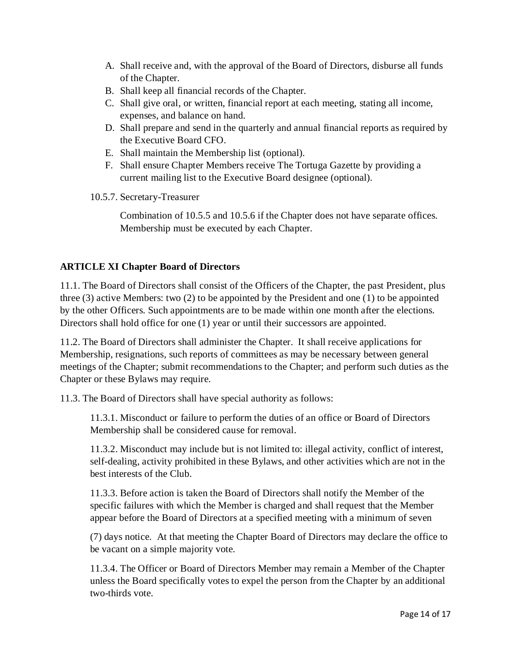- A. Shall receive and, with the approval of the Board of Directors, disburse all funds of the Chapter.
- B. Shall keep all financial records of the Chapter.
- C. Shall give oral, or written, financial report at each meeting, stating all income, expenses, and balance on hand.
- D. Shall prepare and send in the quarterly and annual financial reports as required by the Executive Board CFO.
- E. Shall maintain the Membership list (optional).
- F. Shall ensure Chapter Members receive The Tortuga Gazette by providing a current mailing list to the Executive Board designee (optional).
- 10.5.7. Secretary-Treasurer

Combination of 10.5.5 and 10.5.6 if the Chapter does not have separate offices. Membership must be executed by each Chapter.

# **ARTICLE XI Chapter Board of Directors**

11.1. The Board of Directors shall consist of the Officers of the Chapter, the past President, plus three (3) active Members: two (2) to be appointed by the President and one (1) to be appointed by the other Officers. Such appointments are to be made within one month after the elections. Directors shall hold office for one (1) year or until their successors are appointed.

11.2. The Board of Directors shall administer the Chapter. It shall receive applications for Membership, resignations, such reports of committees as may be necessary between general meetings of the Chapter; submit recommendations to the Chapter; and perform such duties as the Chapter or these Bylaws may require.

11.3. The Board of Directors shall have special authority as follows:

11.3.1. Misconduct or failure to perform the duties of an office or Board of Directors Membership shall be considered cause for removal.

11.3.2. Misconduct may include but is not limited to: illegal activity, conflict of interest, self-dealing, activity prohibited in these Bylaws, and other activities which are not in the best interests of the Club.

11.3.3. Before action is taken the Board of Directors shall notify the Member of the specific failures with which the Member is charged and shall request that the Member appear before the Board of Directors at a specified meeting with a minimum of seven

(7) days notice. At that meeting the Chapter Board of Directors may declare the office to be vacant on a simple majority vote.

11.3.4. The Officer or Board of Directors Member may remain a Member of the Chapter unless the Board specifically votes to expel the person from the Chapter by an additional two-thirds vote.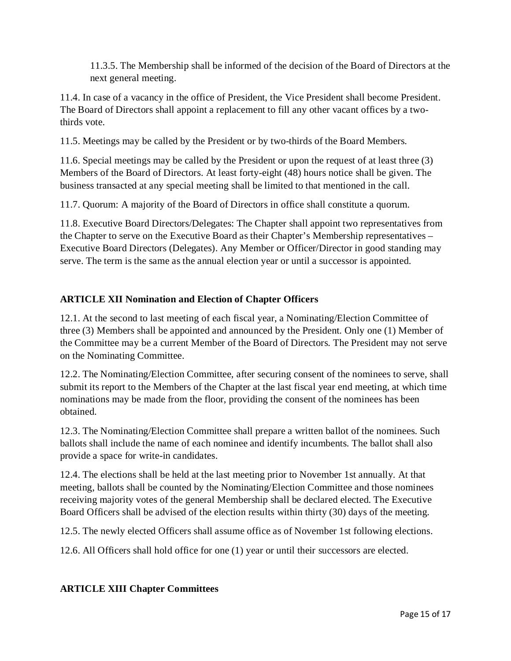11.3.5. The Membership shall be informed of the decision of the Board of Directors at the next general meeting.

11.4. In case of a vacancy in the office of President, the Vice President shall become President. The Board of Directors shall appoint a replacement to fill any other vacant offices by a twothirds vote.

11.5. Meetings may be called by the President or by two-thirds of the Board Members.

11.6. Special meetings may be called by the President or upon the request of at least three (3) Members of the Board of Directors. At least forty-eight (48) hours notice shall be given. The business transacted at any special meeting shall be limited to that mentioned in the call.

11.7. Quorum: A majority of the Board of Directors in office shall constitute a quorum.

11.8. Executive Board Directors/Delegates: The Chapter shall appoint two representatives from the Chapter to serve on the Executive Board as their Chapter's Membership representatives – Executive Board Directors (Delegates). Any Member or Officer/Director in good standing may serve. The term is the same as the annual election year or until a successor is appointed.

## **ARTICLE XII Nomination and Election of Chapter Officers**

12.1. At the second to last meeting of each fiscal year, a Nominating/Election Committee of three (3) Members shall be appointed and announced by the President. Only one (1) Member of the Committee may be a current Member of the Board of Directors. The President may not serve on the Nominating Committee.

12.2. The Nominating/Election Committee, after securing consent of the nominees to serve, shall submit its report to the Members of the Chapter at the last fiscal year end meeting, at which time nominations may be made from the floor, providing the consent of the nominees has been obtained.

12.3. The Nominating/Election Committee shall prepare a written ballot of the nominees. Such ballots shall include the name of each nominee and identify incumbents. The ballot shall also provide a space for write-in candidates.

12.4. The elections shall be held at the last meeting prior to November 1st annually. At that meeting, ballots shall be counted by the Nominating/Election Committee and those nominees receiving majority votes of the general Membership shall be declared elected. The Executive Board Officers shall be advised of the election results within thirty (30) days of the meeting.

12.5. The newly elected Officers shall assume office as of November 1st following elections.

12.6. All Officers shall hold office for one (1) year or until their successors are elected.

## **ARTICLE XIII Chapter Committees**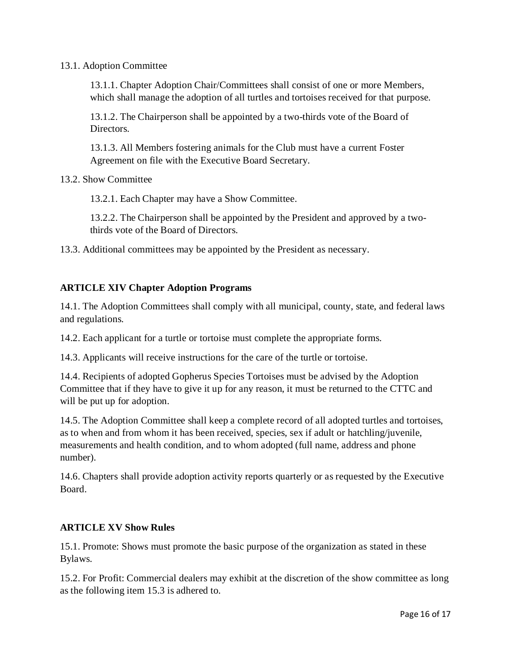#### 13.1. Adoption Committee

13.1.1. Chapter Adoption Chair/Committees shall consist of one or more Members, which shall manage the adoption of all turtles and tortoises received for that purpose.

13.1.2. The Chairperson shall be appointed by a two-thirds vote of the Board of Directors.

13.1.3. All Members fostering animals for the Club must have a current Foster Agreement on file with the Executive Board Secretary.

13.2. Show Committee

13.2.1. Each Chapter may have a Show Committee.

13.2.2. The Chairperson shall be appointed by the President and approved by a twothirds vote of the Board of Directors.

13.3. Additional committees may be appointed by the President as necessary.

#### **ARTICLE XIV Chapter Adoption Programs**

14.1. The Adoption Committees shall comply with all municipal, county, state, and federal laws and regulations.

14.2. Each applicant for a turtle or tortoise must complete the appropriate forms.

14.3. Applicants will receive instructions for the care of the turtle or tortoise.

14.4. Recipients of adopted Gopherus Species Tortoises must be advised by the Adoption Committee that if they have to give it up for any reason, it must be returned to the CTTC and will be put up for adoption.

14.5. The Adoption Committee shall keep a complete record of all adopted turtles and tortoises, as to when and from whom it has been received, species, sex if adult or hatchling/juvenile, measurements and health condition, and to whom adopted (full name, address and phone number).

14.6. Chapters shall provide adoption activity reports quarterly or as requested by the Executive Board.

#### **ARTICLE XV Show Rules**

15.1. Promote: Shows must promote the basic purpose of the organization as stated in these Bylaws.

15.2. For Profit: Commercial dealers may exhibit at the discretion of the show committee as long as the following item 15.3 is adhered to.